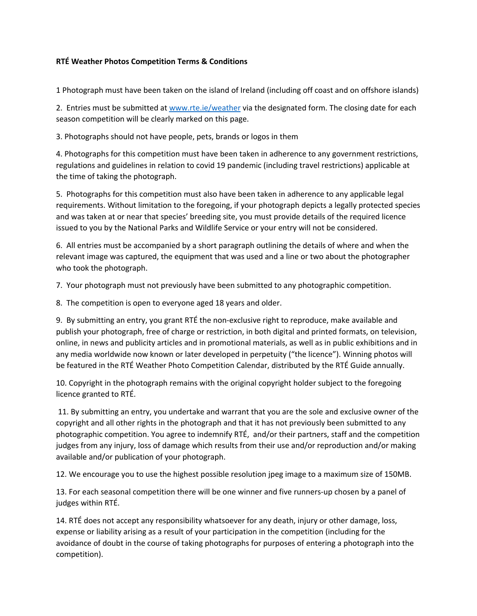## **RTÉ Weather Photos Competition Terms & Conditions**

1 Photograph must have been taken on the island of Ireland (including off coast and on offshore islands)

2. Entries must be submitted at www.rte.ie/weather via the designated form. The closing date for each season competition will be clearly marked on this page.

3. Photographs should not have people, pets, brands or logos in them

4. Photographs for this competition must have been taken in adherence to any government restrictions, regulations and guidelines in relation to covid 19 pandemic (including travel restrictions) applicable at the time of taking the photograph.

5. Photographs for this competition must also have been taken in adherence to any applicable legal requirements. Without limitation to the foregoing, if your photograph depicts a legally protected species and was taken at or near that species' breeding site, you must provide details of the required licence issued to you by the National Parks and Wildlife Service or your entry will not be considered.

6. All entries must be accompanied by a short paragraph outlining the details of where and when the relevant image was captured, the equipment that was used and a line or two about the photographer who took the photograph.

7. Your photograph must not previously have been submitted to any photographic competition.

8. The competition is open to everyone aged 18 years and older.

9. By submitting an entry, you grant RTÉ the non-exclusive right to reproduce, make available and publish your photograph, free of charge or restriction, in both digital and printed formats, on television, online, in news and publicity articles and in promotional materials, as well as in public exhibitions and in any media worldwide now known or later developed in perpetuity ("the licence"). Winning photos will be featured in the RTÉ Weather Photo Competition Calendar, distributed by the RTÉ Guide annually.

10. Copyright in the photograph remains with the original copyright holder subject to the foregoing licence granted to RTÉ.

11. By submitting an entry, you undertake and warrant that you are the sole and exclusive owner of the copyright and all other rights in the photograph and that it has not previously been submitted to any photographic competition. You agree to indemnify RTÉ, and/or their partners, staff and the competition judges from any injury, loss of damage which results from their use and/or reproduction and/or making available and/or publication of your photograph.

12. We encourage you to use the highest possible resolution jpeg image to a maximum size of 150MB.

13. For each seasonal competition there will be one winner and five runners-up chosen by a panel of judges within RTÉ.

14. RTÉ does not accept any responsibility whatsoever for any death, injury or other damage, loss, expense or liability arising as a result of your participation in the competition (including for the avoidance of doubt in the course of taking photographs for purposes of entering a photograph into the competition).